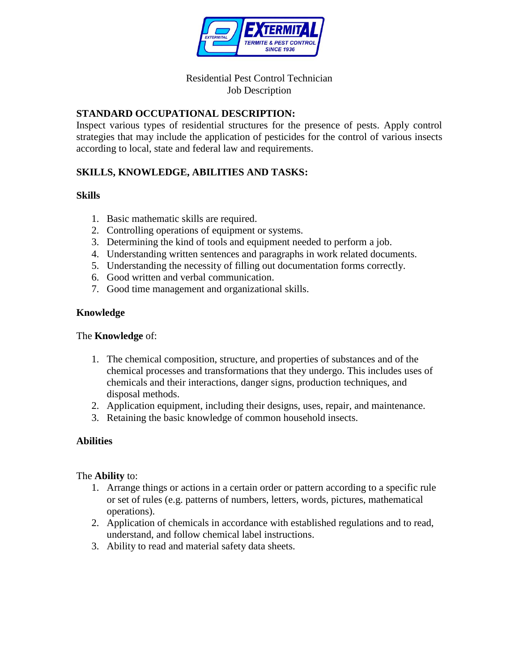

## Residential Pest Control Technician Job Description

# **STANDARD OCCUPATIONAL DESCRIPTION:**

Inspect various types of residential structures for the presence of pests. Apply control strategies that may include the application of pesticides for the control of various insects according to local, state and federal law and requirements.

# **SKILLS, KNOWLEDGE, ABILITIES AND TASKS:**

## **Skills**

- 1. Basic mathematic skills are required.
- 2. Controlling operations of equipment or systems.
- 3. Determining the kind of tools and equipment needed to perform a job.
- 4. Understanding written sentences and paragraphs in work related documents.
- 5. Understanding the necessity of filling out documentation forms correctly.
- 6. Good written and verbal communication.
- 7. Good time management and organizational skills.

## **Knowledge**

#### The **Knowledge** of:

- 1. The chemical composition, structure, and properties of substances and of the chemical processes and transformations that they undergo. This includes uses of chemicals and their interactions, danger signs, production techniques, and disposal methods.
- 2. Application equipment, including their designs, uses, repair, and maintenance.
- 3. Retaining the basic knowledge of common household insects.

## **Abilities**

#### The **Ability** to:

- 1. Arrange things or actions in a certain order or pattern according to a specific rule or set of rules (e.g. patterns of numbers, letters, words, pictures, mathematical operations).
- 2. Application of chemicals in accordance with established regulations and to read, understand, and follow chemical label instructions.
- 3. Ability to read and material safety data sheets.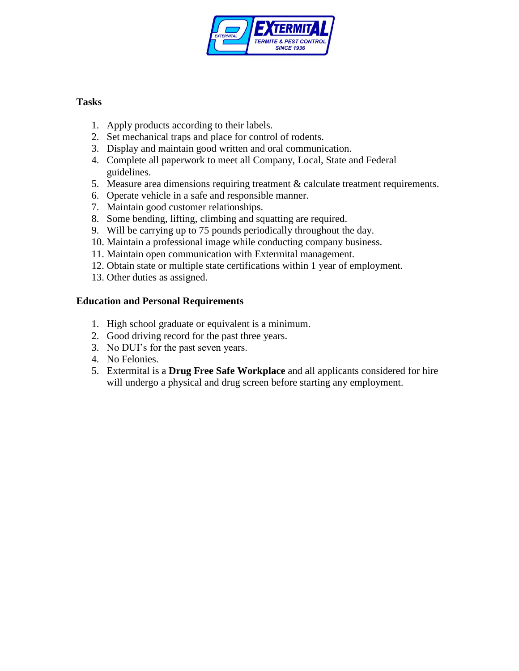

## **Tasks**

- 1. Apply products according to their labels.
- 2. Set mechanical traps and place for control of rodents.
- 3. Display and maintain good written and oral communication.
- 4. Complete all paperwork to meet all Company, Local, State and Federal guidelines.
- 5. Measure area dimensions requiring treatment & calculate treatment requirements.
- 6. Operate vehicle in a safe and responsible manner.
- 7. Maintain good customer relationships.
- 8. Some bending, lifting, climbing and squatting are required.
- 9. Will be carrying up to 75 pounds periodically throughout the day.
- 10. Maintain a professional image while conducting company business.
- 11. Maintain open communication with Extermital management.
- 12. Obtain state or multiple state certifications within 1 year of employment.
- 13. Other duties as assigned.

# **Education and Personal Requirements**

- 1. High school graduate or equivalent is a minimum.
- 2. Good driving record for the past three years.
- 3. No DUI's for the past seven years.
- 4. No Felonies.
- 5. Extermital is a **Drug Free Safe Workplace** and all applicants considered for hire will undergo a physical and drug screen before starting any employment.